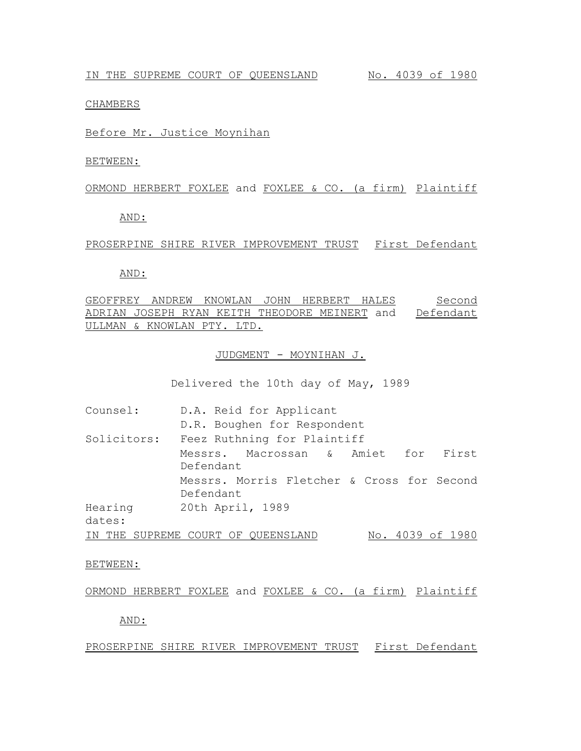### CHAMBERS

# Before Mr. Justice Moynihan

BETWEEN:

#### ORMOND HERBERT FOXLEE and FOXLEE & CO. (a firm) Plaintiff

AND:

#### PROSERPINE SHIRE RIVER IMPROVEMENT TRUST First Defendant

#### AND:

GEOFFREY ANDREW KNOWLAN JOHN HERBERT HALES ADRIAN JOSEPH RYAN KEITH THEODORE MEINERT and Defendant ULLMAN & KNOWLAN PTY. LTD. Second

# JUDGMENT - MOYNIHAN J.

Delivered the 10th day of May, 1989

| Counsel:          | D.A. Reid for Applicant                                 |                  |  |
|-------------------|---------------------------------------------------------|------------------|--|
|                   | D.R. Boughen for Respondent                             |                  |  |
| Solicitors:       | Feez Ruthning for Plaintiff                             |                  |  |
|                   | Messrs. Macrossan & Amiet for First<br>Defendant        |                  |  |
|                   | Messrs. Morris Fletcher & Cross for Second<br>Defendant |                  |  |
| Hearing<br>dates: | 20th April, 1989                                        |                  |  |
| IN THE            | SUPREME COURT OF QUEENSLAND                             | No. 4039 of 1980 |  |

#### BETWEEN:

### ORMOND HERBERT FOXLEE and FOXLEE & CO. (a firm) Plaintiff

AND:

# PROSERPINE SHIRE RIVER IMPROVEMENT TRUST First Defendant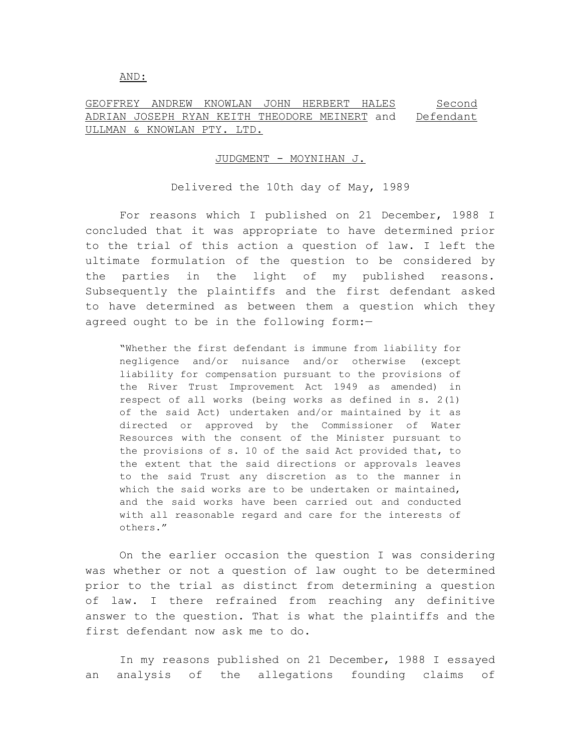#### AND:

#### GEOFFREY ANDREW KNOWLAN JOHN HERBERT HALES ADRIAN JOSEPH RYAN KEITH THEODORE MEINERT and ULLMAN & KNOWLAN PTY. LTD. Second Defendant

## JUDGMENT - MOYNIHAN J.

# Delivered the 10th day of May, 1989

For reasons which I published on 21 December, 1988 I concluded that it was appropriate to have determined prior to the trial of this action a question of law. I left the ultimate formulation of the question to be considered by the parties in the light of my published reasons. Subsequently the plaintiffs and the first defendant asked to have determined as between them a question which they agreed ought to be in the following form:—

"Whether the first defendant is immune from liability for negligence and/or nuisance and/or otherwise (except liability for compensation pursuant to the provisions of the River Trust Improvement Act 1949 as amended) in respect of all works (being works as defined in s. 2(1) of the said Act) undertaken and/or maintained by it as directed or approved by the Commissioner of Water Resources with the consent of the Minister pursuant to the provisions of s. 10 of the said Act provided that, to the extent that the said directions or approvals leaves to the said Trust any discretion as to the manner in which the said works are to be undertaken or maintained, and the said works have been carried out and conducted with all reasonable regard and care for the interests of others."

On the earlier occasion the question I was considering was whether or not a question of law ought to be determined prior to the trial as distinct from determining a question of law. I there refrained from reaching any definitive answer to the question. That is what the plaintiffs and the first defendant now ask me to do.

In my reasons published on 21 December, 1988 I essayed an analysis of the allegations founding claims of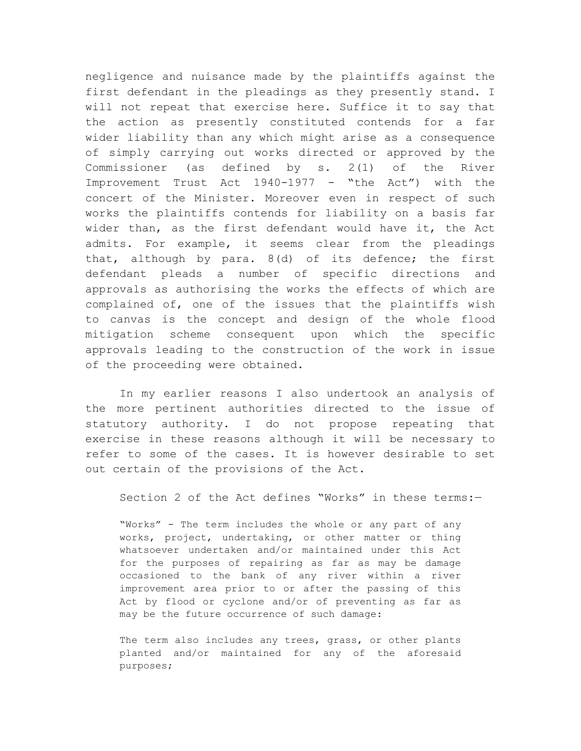negligence and nuisance made by the plaintiffs against the first defendant in the pleadings as they presently stand. I will not repeat that exercise here. Suffice it to say that the action as presently constituted contends for a far wider liability than any which might arise as a consequence of simply carrying out works directed or approved by the Commissioner (as defined by s. 2(1) of the River Improvement Trust Act 1940-1977 - "the Act") with the concert of the Minister. Moreover even in respect of such works the plaintiffs contends for liability on a basis far wider than, as the first defendant would have it, the Act admits. For example, it seems clear from the pleadings that, although by para. 8(d) of its defence; the first defendant pleads a number of specific directions and approvals as authorising the works the effects of which are complained of, one of the issues that the plaintiffs wish to canvas is the concept and design of the whole flood mitigation scheme consequent upon which the specific approvals leading to the construction of the work in issue of the proceeding were obtained.

In my earlier reasons I also undertook an analysis of the more pertinent authorities directed to the issue of statutory authority. I do not propose repeating that exercise in these reasons although it will be necessary to refer to some of the cases. It is however desirable to set out certain of the provisions of the Act.

Section 2 of the Act defines "Works" in these terms:-

"Works" - The term includes the whole or any part of any works, project, undertaking, or other matter or thing whatsoever undertaken and/or maintained under this Act for the purposes of repairing as far as may be damage occasioned to the bank of any river within a river improvement area prior to or after the passing of this Act by flood or cyclone and/or of preventing as far as may be the future occurrence of such damage:

The term also includes any trees, grass, or other plants planted and/or maintained for any of the aforesaid purposes;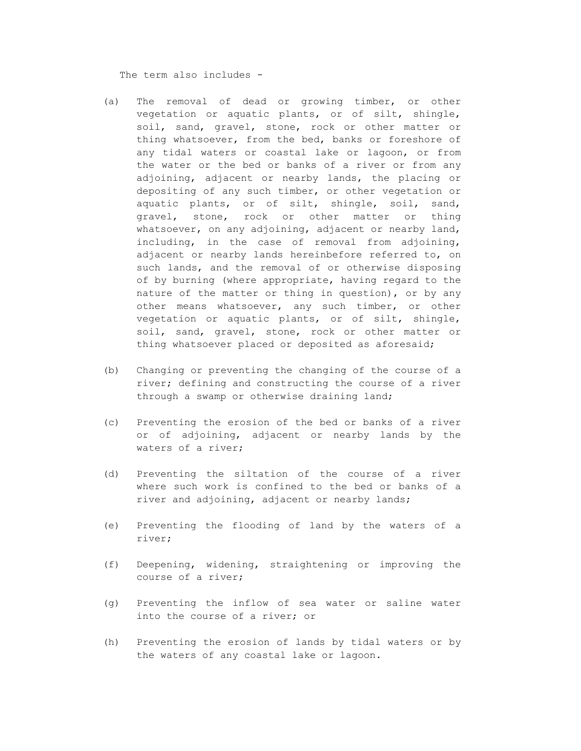The term also includes -

- (a) The removal of dead or growing timber, or other vegetation or aquatic plants, or of silt, shingle, soil, sand, gravel, stone, rock or other matter or thing whatsoever, from the bed, banks or foreshore of any tidal waters or coastal lake or lagoon, or from the water or the bed or banks of a river or from any adjoining, adjacent or nearby lands, the placing or depositing of any such timber, or other vegetation or aquatic plants, or of silt, shingle, soil, sand, gravel, stone, rock or other matter or thing whatsoever, on any adjoining, adjacent or nearby land, including, in the case of removal from adjoining, adjacent or nearby lands hereinbefore referred to, on such lands, and the removal of or otherwise disposing of by burning (where appropriate, having regard to the nature of the matter or thing in question), or by any other means whatsoever, any such timber, or other vegetation or aquatic plants, or of silt, shingle, soil, sand, gravel, stone, rock or other matter or thing whatsoever placed or deposited as aforesaid;
- (b) Changing or preventing the changing of the course of a river; defining and constructing the course of a river through a swamp or otherwise draining land;
- (c) Preventing the erosion of the bed or banks of a river or of adjoining, adjacent or nearby lands by the waters of a river;
- (d) Preventing the siltation of the course of a river where such work is confined to the bed or banks of a river and adjoining, adjacent or nearby lands;
- (e) Preventing the flooding of land by the waters of a river;
- (f) Deepening, widening, straightening or improving the course of a river;
- (g) Preventing the inflow of sea water or saline water into the course of a river; or
- (h) Preventing the erosion of lands by tidal waters or by the waters of any coastal lake or lagoon.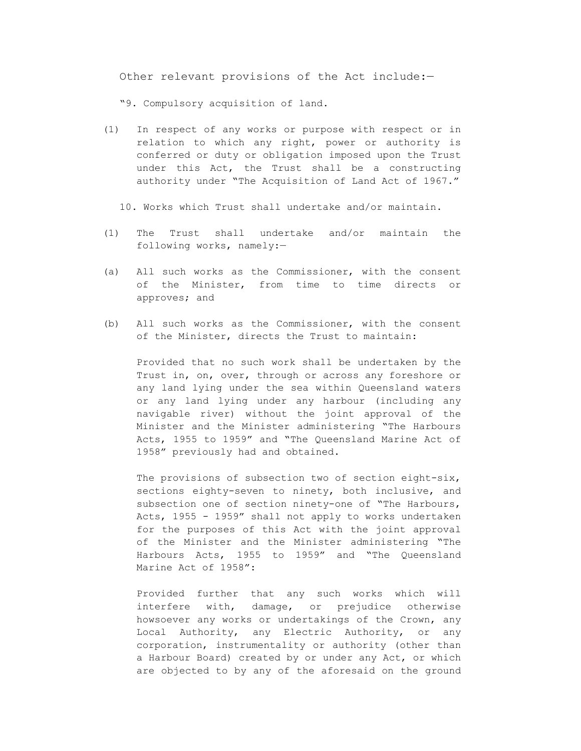Other relevant provisions of the Act include:—

"9. Compulsory acquisition of land.

- (1) In respect of any works or purpose with respect or in relation to which any right, power or authority is conferred or duty or obligation imposed upon the Trust under this Act, the Trust shall be a constructing authority under "The Acquisition of Land Act of 1967."
	- 10. Works which Trust shall undertake and/or maintain.
- (1) The Trust shall undertake and/or maintain the following works, namely:—
- (a) All such works as the Commissioner, with the consent of the Minister, from time to time directs or approves; and
- (b) All such works as the Commissioner, with the consent of the Minister, directs the Trust to maintain:

Provided that no such work shall be undertaken by the Trust in, on, over, through or across any foreshore or any land lying under the sea within Queensland waters or any land lying under any harbour (including any navigable river) without the joint approval of the Minister and the Minister administering "The Harbours Acts, 1955 to 1959" and "The Queensland Marine Act of 1958" previously had and obtained.

The provisions of subsection two of section eight-six, sections eighty-seven to ninety, both inclusive, and subsection one of section ninety-one of "The Harbours, Acts, 1955 - 1959" shall not apply to works undertaken for the purposes of this Act with the joint approval of the Minister and the Minister administering "The Harbours Acts, 1955 to 1959" and "The Queensland Marine Act of 1958":

Provided further that any such works which will interfere with, damage, or prejudice otherwise howsoever any works or undertakings of the Crown, any Local Authority, any Electric Authority, or any corporation, instrumentality or authority (other than a Harbour Board) created by or under any Act, or which are objected to by any of the aforesaid on the ground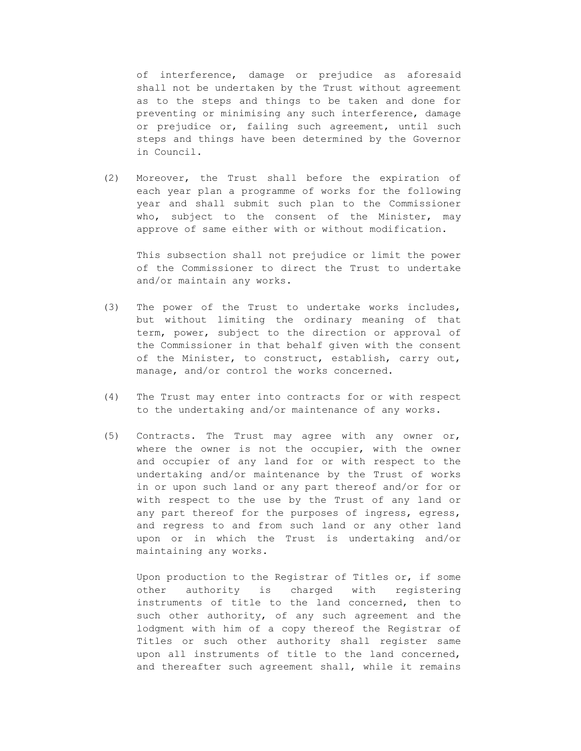of interference, damage or prejudice as aforesaid shall not be undertaken by the Trust without agreement as to the steps and things to be taken and done for preventing or minimising any such interference, damage or prejudice or, failing such agreement, until such steps and things have been determined by the Governor in Council.

(2) Moreover, the Trust shall before the expiration of each year plan a programme of works for the following year and shall submit such plan to the Commissioner who, subject to the consent of the Minister, may approve of same either with or without modification.

This subsection shall not prejudice or limit the power of the Commissioner to direct the Trust to undertake and/or maintain any works.

- (3) The power of the Trust to undertake works includes, but without limiting the ordinary meaning of that term, power, subject to the direction or approval of the Commissioner in that behalf given with the consent of the Minister, to construct, establish, carry out, manage, and/or control the works concerned.
- (4) The Trust may enter into contracts for or with respect to the undertaking and/or maintenance of any works.
- (5) Contracts. The Trust may agree with any owner or, where the owner is not the occupier, with the owner and occupier of any land for or with respect to the undertaking and/or maintenance by the Trust of works in or upon such land or any part thereof and/or for or with respect to the use by the Trust of any land or any part thereof for the purposes of ingress, egress, and regress to and from such land or any other land upon or in which the Trust is undertaking and/or maintaining any works.

Upon production to the Registrar of Titles or, if some other authority is charged with registering instruments of title to the land concerned, then to such other authority, of any such agreement and the lodgment with him of a copy thereof the Registrar of Titles or such other authority shall register same upon all instruments of title to the land concerned, and thereafter such agreement shall, while it remains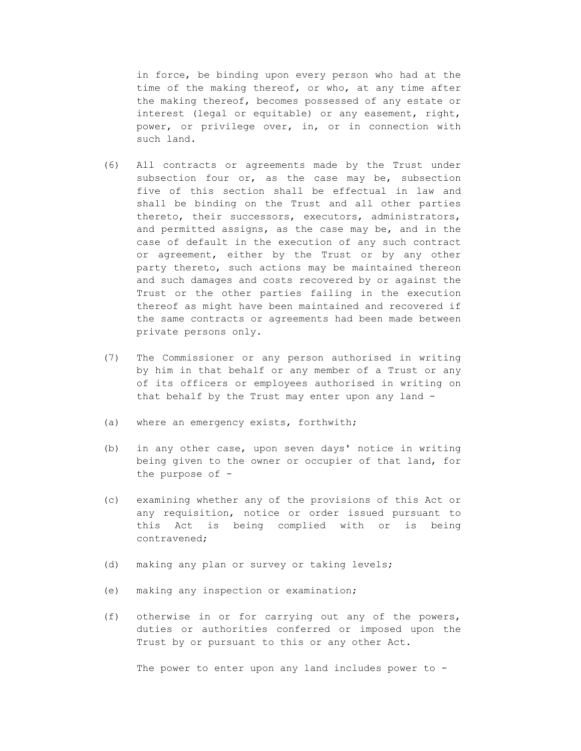in force, be binding upon every person who had at the time of the making thereof, or who, at any time after the making thereof, becomes possessed of any estate or interest (legal or equitable) or any easement, right, power, or privilege over, in, or in connection with such land.

- (6) All contracts or agreements made by the Trust under subsection four or, as the case may be, subsection five of this section shall be effectual in law and shall be binding on the Trust and all other parties thereto, their successors, executors, administrators, and permitted assigns, as the case may be, and in the case of default in the execution of any such contract or agreement, either by the Trust or by any other party thereto, such actions may be maintained thereon and such damages and costs recovered by or against the Trust or the other parties failing in the execution thereof as might have been maintained and recovered if the same contracts or agreements had been made between private persons only.
- (7) The Commissioner or any person authorised in writing by him in that behalf or any member of a Trust or any of its officers or employees authorised in writing on that behalf by the Trust may enter upon any land -
- (a) where an emergency exists, forthwith;
- (b) in any other case, upon seven days' notice in writing being given to the owner or occupier of that land, for the purpose of -
- (c) examining whether any of the provisions of this Act or any requisition, notice or order issued pursuant to this Act is being complied with or is being contravened;
- (d) making any plan or survey or taking levels;
- (e) making any inspection or examination;
- (f) otherwise in or for carrying out any of the powers, duties or authorities conferred or imposed upon the Trust by or pursuant to this or any other Act.

The power to enter upon any land includes power to -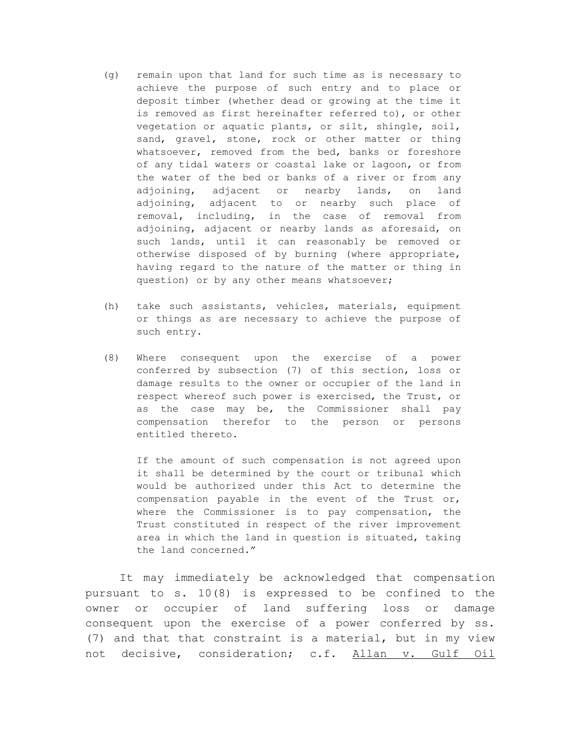- (g) remain upon that land for such time as is necessary to achieve the purpose of such entry and to place or deposit timber (whether dead or growing at the time it is removed as first hereinafter referred to), or other vegetation or aquatic plants, or silt, shingle, soil, sand, gravel, stone, rock or other matter or thing whatsoever, removed from the bed, banks or foreshore of any tidal waters or coastal lake or lagoon, or from the water of the bed or banks of a river or from any adjoining, adjacent or nearby lands, on land adjoining, adjacent to or nearby such place of removal, including, in the case of removal from adjoining, adjacent or nearby lands as aforesaid, on such lands, until it can reasonably be removed or otherwise disposed of by burning (where appropriate, having regard to the nature of the matter or thing in question) or by any other means whatsoever;
- (h) take such assistants, vehicles, materials, equipment or things as are necessary to achieve the purpose of such entry.
- (8) Where consequent upon the exercise of a power conferred by subsection (7) of this section, loss or damage results to the owner or occupier of the land in respect whereof such power is exercised, the Trust, or as the case may be, the Commissioner shall pay compensation therefor to the person or persons entitled thereto.

If the amount of such compensation is not agreed upon it shall be determined by the court or tribunal which would be authorized under this Act to determine the compensation payable in the event of the Trust or, where the Commissioner is to pay compensation, the Trust constituted in respect of the river improvement area in which the land in question is situated, taking the land concerned."

It may immediately be acknowledged that compensation pursuant to s. 10(8) is expressed to be confined to the owner or occupier of land suffering loss or damage consequent upon the exercise of a power conferred by ss. (7) and that that constraint is a material, but in my view not decisive, consideration; c.f. Allan v. Gulf Oil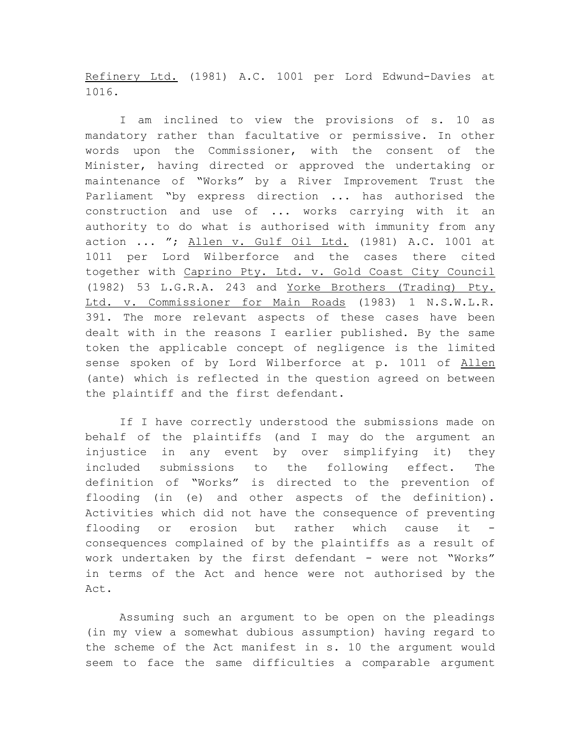Refinery Ltd. (1981) A.C. 1001 per Lord Edwund-Davies at 1016.

I am inclined to view the provisions of s. 10 as mandatory rather than facultative or permissive. In other words upon the Commissioner, with the consent of the Minister, having directed or approved the undertaking or maintenance of "Works" by a River Improvement Trust the Parliament "by express direction ... has authorised the construction and use of ... works carrying with it an authority to do what is authorised with immunity from any action ... "; Allen v. Gulf Oil Ltd. (1981) A.C. 1001 at 1011 per Lord Wilberforce and the cases there cited together with Caprino Pty. Ltd. v. Gold Coast City Council (1982) 53 L.G.R.A. 243 and Yorke Brothers (Trading) Pty. Ltd. v. Commissioner for Main Roads (1983) 1 N.S.W.L.R. 391. The more relevant aspects of these cases have been dealt with in the reasons I earlier published. By the same token the applicable concept of negligence is the limited sense spoken of by Lord Wilberforce at p. 1011 of Allen (ante) which is reflected in the question agreed on between the plaintiff and the first defendant.

If I have correctly understood the submissions made on behalf of the plaintiffs (and I may do the argument an injustice in any event by over simplifying it) they included submissions to the following effect. The definition of "Works" is directed to the prevention of flooding (in (e) and other aspects of the definition). Activities which did not have the consequence of preventing flooding or erosion but rather which cause it consequences complained of by the plaintiffs as a result of work undertaken by the first defendant - were not "Works" in terms of the Act and hence were not authorised by the Act.

Assuming such an argument to be open on the pleadings (in my view a somewhat dubious assumption) having regard to the scheme of the Act manifest in s. 10 the argument would seem to face the same difficulties a comparable argument